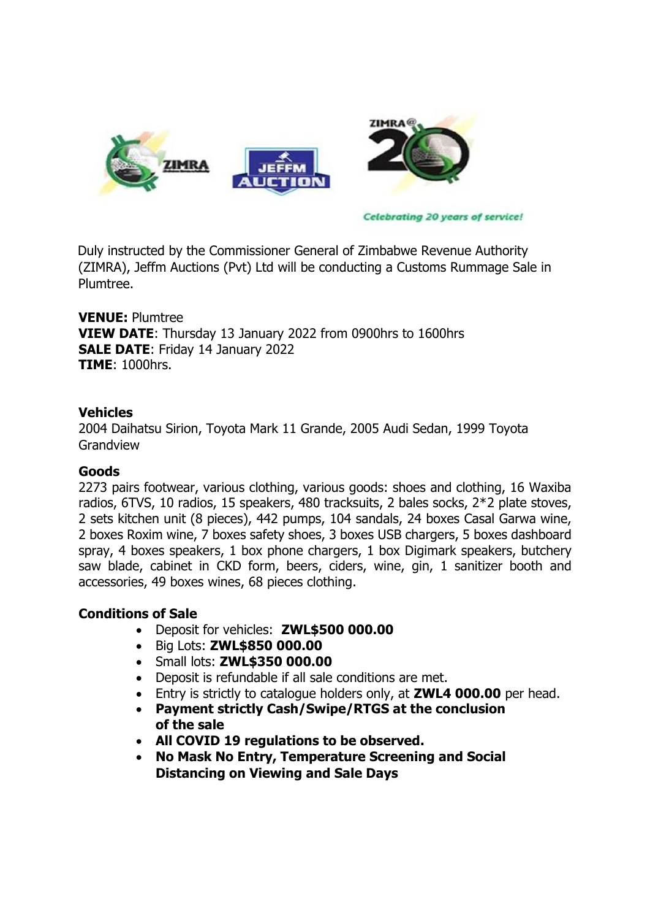

**Celebrating 20 years of service!** 

Duly instructed by the Commissioner General of Zimbabwe Revenue Authority (ZIMRA), Jeffm Auctions (Pvt) Ltd will be conducting a Customs Rummage Sale in Plumtree.

**VENUE:** Plumtree **VIEW DATE**: Thursday 13 January 2022 from 0900hrs to 1600hrs **SALE DATE**: Friday 14 January 2022 **TIME**: 1000hrs.

## **Vehicles**

2004 Daihatsu Sirion, Toyota Mark 11 Grande, 2005 Audi Sedan, 1999 Toyota Grandview

## **Goods**

2273 pairs footwear, various clothing, various goods: shoes and clothing, 16 Waxiba radios, 6TVS, 10 radios, 15 speakers, 480 tracksuits, 2 bales socks, 2\*2 plate stoves, 2 sets kitchen unit (8 pieces), 442 pumps, 104 sandals, 24 boxes Casal Garwa wine, 2 boxes Roxim wine, 7 boxes safety shoes, 3 boxes USB chargers, 5 boxes dashboard spray, 4 boxes speakers, 1 box phone chargers, 1 box Digimark speakers, butchery saw blade, cabinet in CKD form, beers, ciders, wine, gin, 1 sanitizer booth and accessories, 49 boxes wines, 68 pieces clothing.

## **Conditions of Sale**

- Deposit for vehicles: **ZWL\$500 000.00**
- Big Lots: **ZWL\$850 000.00**
- Small lots: **ZWL\$350 000.00**
- Deposit is refundable if all sale conditions are met.
- Entry is strictly to catalogue holders only, at **ZWL4 000.00** per head.
- **Payment strictly Cash/Swipe/RTGS at the conclusion of the sale**
- **All COVID 19 regulations to be observed.**
- **No Mask No Entry, Temperature Screening and Social Distancing on Viewing and Sale Days**